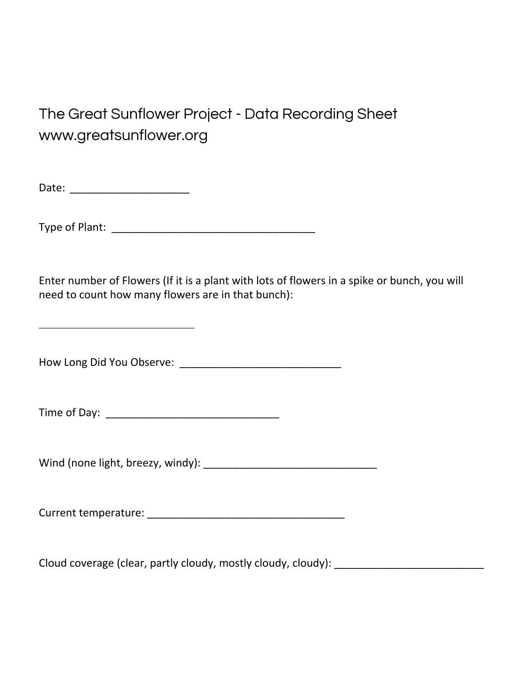## The Great Sunflower Project - Data Recording Sheet www.greatsunflower.org

Date: \_\_\_\_\_\_\_\_\_\_\_\_\_\_\_\_\_\_\_\_

Type of Plant: \_\_\_\_\_\_\_\_\_\_\_\_\_\_\_\_\_\_\_\_\_\_\_\_\_\_\_\_\_\_\_\_\_\_

Enter number of Flowers (If it is a plant with lots of flowers in a spike or bunch, you will need to count how many flowers are in that bunch):

\_\_\_\_\_\_\_\_\_\_\_\_\_\_\_\_\_\_\_\_\_\_\_\_\_\_

How Long Did You Observe: \_\_\_\_\_\_\_\_\_\_\_\_\_\_\_\_\_\_\_\_\_\_\_\_\_\_\_

Time of Day:

Wind (none light, breezy, windy): \_\_\_\_\_\_\_\_\_\_\_\_\_\_\_\_\_\_\_\_\_\_\_\_\_\_\_\_\_

Current temperature: \_\_\_\_\_\_\_\_\_\_\_\_\_\_\_\_\_\_\_\_\_\_\_\_\_\_\_\_\_\_\_\_\_

Cloud coverage (clear, partly cloudy, mostly cloudy, cloudy): \_\_\_\_\_\_\_\_\_\_\_\_\_\_\_\_\_\_\_\_\_\_\_\_\_